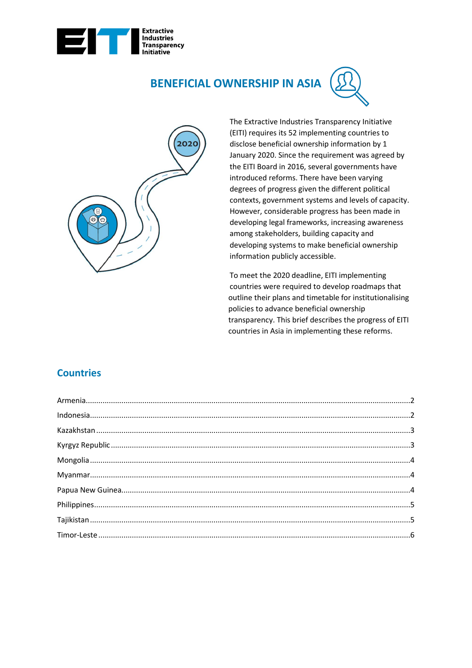

# **BENEFICIAL OWNERSHIP IN ASIA**





The Extractive Industries Transparency Initiative (EITI) requires its 52 implementing countries to disclose beneficial ownership information by 1 January 2020. Since the requirement was agreed by the EITI Board in 2016, several governments have introduced reforms. There have been varying degrees of progress given the different political contexts, government systems and levels of capacity. However, considerable progress has been made in developing legal frameworks, increasing awareness among stakeholders, building capacity and developing systems to make beneficial ownership information publicly accessible.

To meet the 2020 deadline, EITI implementing countries were required to develop roadmaps that outline their plans and timetable for institutionalising policies to advance beneficial ownership transparency. This brief describes the progress of EITI countries in Asia in implementing these reforms.

# **Countries**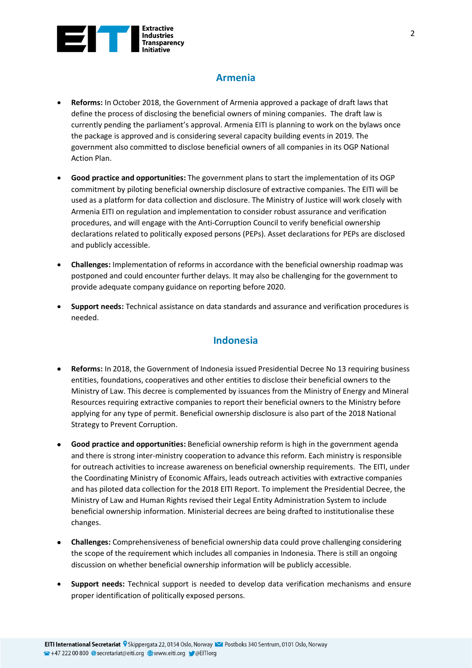

### **Armenia**

- <span id="page-1-0"></span>• **Reforms:** In October 2018, the Government of Armenia approved a package of draft laws that define the process of disclosing the beneficial owners of mining companies. The draft law is currently pending the parliament's approval. Armenia EITI is planning to work on the bylaws once the package is approved and is considering several capacity building events in 2019. The government also committed to disclose beneficial owners of all companies in its OGP National Action Plan.
- **Good practice and opportunities:** The government plans to start the implementation of its OGP commitment by piloting beneficial ownership disclosure of extractive companies. The EITI will be used as a platform for data collection and disclosure. The Ministry of Justice will work closely with Armenia EITI on regulation and implementation to consider robust assurance and verification procedures, and will engage with the Anti-Corruption Council to verify beneficial ownership declarations related to politically exposed persons (PEPs). Asset declarations for PEPs are disclosed and publicly accessible.
- **Challenges:** Implementation of reforms in accordance with the beneficial ownership roadmap was postponed and could encounter further delays. It may also be challenging for the government to provide adequate company guidance on reporting before 2020.
- <span id="page-1-1"></span>• **Support needs:** Technical assistance on data standards and assurance and verification procedures is needed.

#### **Indonesia**

- **Reforms:** In 2018, the Government of Indonesia issued Presidential Decree No 13 requiring business entities, foundations, cooperatives and other entities to disclose their beneficial owners to the Ministry of Law. This decree is complemented by issuances from the Ministry of Energy and Mineral Resources requiring extractive companies to report their beneficial owners to the Ministry before applying for any type of permit. Beneficial ownership disclosure is also part of the 2018 National Strategy to Prevent Corruption.
- **Good practice and opportunities:** Beneficial ownership reform is high in the government agenda and there is strong inter-ministry cooperation to advance this reform. Each ministry is responsible for outreach activities to increase awareness on beneficial ownership requirements. The EITI, under the Coordinating Ministry of Economic Affairs, leads outreach activities with extractive companies and has piloted data collection for the 2018 EITI Report. To implement the Presidential Decree, the Ministry of Law and Human Rights revised their Legal Entity Administration System to include beneficial ownership information. Ministerial decrees are being drafted to institutionalise these changes.
- **Challenges:** Comprehensiveness of beneficial ownership data could prove challenging considering the scope of the requirement which includes all companies in Indonesia. There is still an ongoing discussion on whether beneficial ownership information will be publicly accessible.
- **Support needs:** Technical support is needed to develop data verification mechanisms and ensure proper identification of politically exposed persons.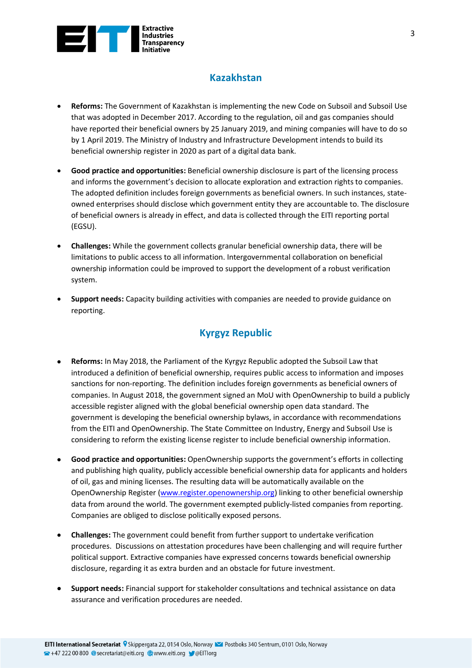

## **Kazakhstan**

- <span id="page-2-0"></span>• **Reforms:** The Government of Kazakhstan is implementing the new Code on Subsoil and Subsoil Use that was adopted in December 2017. According to the regulation, oil and gas companies should have reported their beneficial owners by 25 January 2019, and mining companies will have to do so by 1 April 2019. The Ministry of Industry and Infrastructure Development intends to build its beneficial ownership register in 2020 as part of a digital data bank.
- **Good practice and opportunities:** Beneficial ownership disclosure is part of the licensing process and informs the government's decision to allocate exploration and extraction rights to companies. The adopted definition includes foreign governments as beneficial owners. In such instances, stateowned enterprises should disclose which government entity they are accountable to. The disclosure of beneficial owners is already in effect, and data is collected through the EITI reporting portal (EGSU).
- **Challenges:** While the government collects granular beneficial ownership data, there will be limitations to public access to all information. Intergovernmental collaboration on beneficial ownership information could be improved to support the development of a robust verification system.
- <span id="page-2-1"></span>• **Support needs:** Capacity building activities with companies are needed to provide guidance on reporting.

### **Kyrgyz Republic**

- **Reforms:** In May 2018, the Parliament of the Kyrgyz Republic adopted the Subsoil Law that introduced a definition of beneficial ownership, requires public access to information and imposes sanctions for non-reporting. The definition includes foreign governments as beneficial owners of companies. In August 2018, the government signed an MoU with OpenOwnership to build a publicly accessible register aligned with the global beneficial ownership open data standard. The government is developing the beneficial ownership bylaws, in accordance with recommendations from the EITI and OpenOwnership. The State Committee on Industry, Energy and Subsoil Use is considering to reform the existing license register to include beneficial ownership information.
- **Good practice and opportunities:** OpenOwnership supports the government's efforts in collecting and publishing high quality, publicly accessible beneficial ownership data for applicants and holders of oil, gas and mining licenses. The resulting data will be automatically available on the OpenOwnership Register [\(www.register.openownership.org\)](http://www.register.openownership.org/) linking to other beneficial ownership data from around the world. The government exempted publicly-listed companies from reporting. Companies are obliged to disclose politically exposed persons.
- **Challenges:** The government could benefit from further support to undertake verification procedures. Discussions on attestation procedures have been challenging and will require further political support. Extractive companies have expressed concerns towards beneficial ownership disclosure, regarding it as extra burden and an obstacle for future investment.
- **Support needs:** Financial support for stakeholder consultations and technical assistance on data assurance and verification procedures are needed.

<sup>2</sup> +47 222 00 800 © secretariat@eiti.org www.eiti.org ● @ElTlorg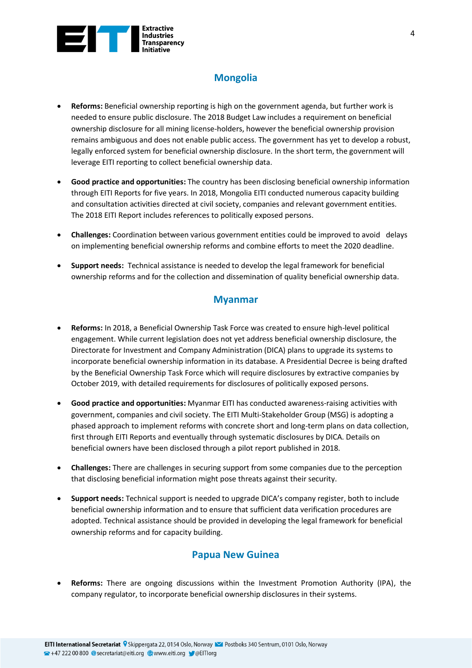

# **Mongolia**

- <span id="page-3-0"></span>• **Reforms:** Beneficial ownership reporting is high on the government agenda, but further work is needed to ensure public disclosure. The 2018 Budget Law includes a requirement on beneficial ownership disclosure for all mining license-holders, however the beneficial ownership provision remains ambiguous and does not enable public access. The government has yet to develop a robust, legally enforced system for beneficial ownership disclosure. In the short term, the government will leverage EITI reporting to collect beneficial ownership data.
- **Good practice and opportunities:** The country has been disclosing beneficial ownership information through EITI Reports for five years. In 2018, Mongolia EITI conducted numerous capacity building and consultation activities directed at civil society, companies and relevant government entities. The 2018 EITI Report includes references to politically exposed persons.
- **Challenges:** Coordination between various government entities could be improved to avoid delays on implementing beneficial ownership reforms and combine efforts to meet the 2020 deadline.
- <span id="page-3-1"></span>• **Support needs:** Technical assistance is needed to develop the legal framework for beneficial ownership reforms and for the collection and dissemination of quality beneficial ownership data.

#### **Myanmar**

- **Reforms:** In 2018, a Beneficial Ownership Task Force was created to ensure high-level political engagement. While current legislation does not yet address beneficial ownership disclosure, the Directorate for Investment and Company Administration (DICA) plans to upgrade its systems to incorporate beneficial ownership information in its database. A Presidential Decree is being drafted by the Beneficial Ownership Task Force which will require disclosures by extractive companies by October 2019, with detailed requirements for disclosures of politically exposed persons.
- **Good practice and opportunities:** Myanmar EITI has conducted awareness-raising activities with government, companies and civil society. The EITI Multi-Stakeholder Group (MSG) is adopting a phased approach to implement reforms with concrete short and long-term plans on data collection, first through EITI Reports and eventually through systematic disclosures by DICA. Details on beneficial owners have been disclosed through a pilot report published in 2018.
- **Challenges:** There are challenges in securing support from some companies due to the perception that disclosing beneficial information might pose threats against their security.
- **Support needs:** Technical support is needed to upgrade DICA's company register, both to include beneficial ownership information and to ensure that sufficient data verification procedures are adopted. Technical assistance should be provided in developing the legal framework for beneficial ownership reforms and for capacity building.

#### **Papua New Guinea**

<span id="page-3-2"></span>• **Reforms:** There are ongoing discussions within the Investment Promotion Authority (IPA), the company regulator, to incorporate beneficial ownership disclosures in their systems.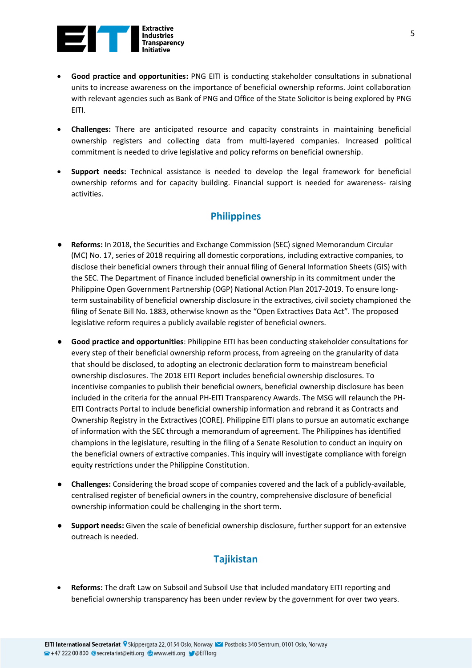

- **Good practice and opportunities:** PNG EITI is conducting stakeholder consultations in subnational units to increase awareness on the importance of beneficial ownership reforms. Joint collaboration with relevant agencies such as Bank of PNG and Office of the State Solicitor is being explored by PNG EITI.
- **Challenges:** There are anticipated resource and capacity constraints in maintaining beneficial ownership registers and collecting data from multi-layered companies. Increased political commitment is needed to drive legislative and policy reforms on beneficial ownership.
- **Support needs:** Technical assistance is needed to develop the legal framework for beneficial ownership reforms and for capacity building. Financial support is needed for awareness- raising activities.

#### **Philippines**

- <span id="page-4-0"></span>● **Reforms:** In 2018, the Securities and Exchange Commission (SEC) signed Memorandum Circular (MC) No. 17, series of 2018 requiring all domestic corporations, including extractive companies, to disclose their beneficial owners through their annual filing of General Information Sheets (GIS) with the SEC. The Department of Finance included beneficial ownership in its commitment under the Philippine Open Government Partnership (OGP) National Action Plan 2017-2019. To ensure longterm sustainability of beneficial ownership disclosure in the extractives, civil society championed the filing of Senate Bill No. 1883, otherwise known as the "Open Extractives Data Act". The proposed legislative reform requires a publicly available register of beneficial owners.
- **Good practice and opportunities**: Philippine EITI has been conducting stakeholder consultations for every step of their beneficial ownership reform process, from agreeing on the granularity of data that should be disclosed, to adopting an electronic declaration form to mainstream beneficial ownership disclosures. The 2018 EITI Report includes beneficial ownership disclosures. To incentivise companies to publish their beneficial owners, beneficial ownership disclosure has been included in the criteria for the annual PH-EITI Transparency Awards. The MSG will relaunch the PH-EITI Contracts Portal to include beneficial ownership information and rebrand it as Contracts and Ownership Registry in the Extractives (CORE). Philippine EITI plans to pursue an automatic exchange of information with the SEC through a memorandum of agreement. The Philippines has identified champions in the legislature, resulting in the filing of a Senate Resolution to conduct an inquiry on the beneficial owners of extractive companies. This inquiry will investigate compliance with foreign equity restrictions under the Philippine Constitution.
- **Challenges:** Considering the broad scope of companies covered and the lack of a publicly-available, centralised register of beneficial owners in the country, comprehensive disclosure of beneficial ownership information could be challenging in the short term.
- **Support needs:** Given the scale of beneficial ownership disclosure, further support for an extensive outreach is needed.

### <span id="page-4-1"></span>**Tajikistan**

• **Reforms:** The draft Law on Subsoil and Subsoil Use that included mandatory EITI reporting and beneficial ownership transparency has been under review by the government for over two years.